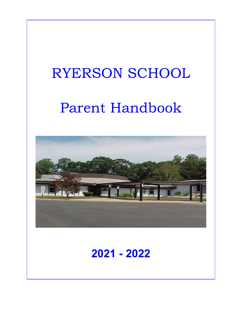# RYERSON SCHOOL

# Parent Handbook



# **2021 - 2022**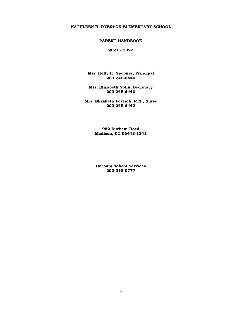#### KATHLEEN H. RYERSON ELEMENTARY SCHOOL

#### PARENT HANDBOOK

2021 - 2022

 Mrs. Kelly K. Spooner, Principal 203 245-6440

 Mrs. Elizabeth Solin, Secretary 203 245-6440

 Mrs. Elizabeth Fortsch, R.N., Nurse 203 245-6442

> 982 Durham Road Madison, CT 06443-1843

 Durham School Services 203 318-0777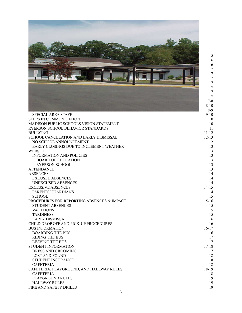|                                                                   | 566777777                                      |
|-------------------------------------------------------------------|------------------------------------------------|
|                                                                   | $\overline{7}$<br>$7 - 8$<br>$8 - 10$<br>$8-9$ |
| <b>SPECIAL AREA STAFF</b>                                         | $9 - 10$                                       |
| STEPS IN COMMUNICATION<br>MADISON PUBLIC SCHOOLS VISION STATEMENT | 10<br>10                                       |
| RYERSON SCHOOL BEHAVIOR STANDARDS                                 | 11                                             |
| <b>BULLYING</b>                                                   | $11 - 12$                                      |
| SCHOOL CANCELATION AND EARLY DISMISSAL                            | $12 - 13$                                      |
| NO SCHOOL ANNOUNCEMENT                                            | 12                                             |
| EARLY CLOSINGS DUE TO INCLEMENT WEATHER                           | 13                                             |
| <b>WEBSITE</b>                                                    | 13                                             |
| <b>INFORMATION AND POLICIES</b>                                   | 13                                             |
| <b>BOARD OF EDUCATION</b><br><b>RYERSON SCHOOL</b>                | 13<br>13                                       |
| <b>ATTENDANCE</b>                                                 | 13                                             |
| <b>ABSENCES</b>                                                   | 14                                             |
| <b>EXCUSED ABSENCES</b>                                           | 14                                             |
| UNEXCUSED ABSENCES                                                | 14                                             |
| <b>EXCESSIVE ABSENCES</b>                                         | $14 - 15$                                      |
| PARENTS/GUARDIANS                                                 | 14                                             |
| <b>SCHOOL</b>                                                     | 15                                             |
| PROCEDURES FOR REPORTING ABSENCES & IMPACT                        | $15-16$                                        |
| <b>STUDENT ABSENCES</b>                                           | 15                                             |
| <b>VACATIONS</b>                                                  | 15                                             |
| <b>TARDINESS</b>                                                  | 15                                             |
| <b>EARLY DISMISSAL</b>                                            | 16                                             |
| CHILD DROP OFF AND PICK-UP PROCEDURES                             | 16                                             |
| <b>BUS INFORMATION</b>                                            | $16 - 17$                                      |
| <b>BOARDING THE BUS</b>                                           | 16                                             |
| <b>RIDING THE BUS</b><br><b>LEAVING THE BUS</b>                   | 17<br>17                                       |
| STUDENT INFORMATION                                               | $17 - 18$                                      |
| DRESS AND GROOMING                                                | 17                                             |
| <b>LOST AND FOUND</b>                                             | 18                                             |
| STUDENT INSURANCE                                                 | 18                                             |
| <b>CAFETERIA</b>                                                  | 18                                             |
| CAFETERIA, PLAYGROUND, AND HALLWAY RULES                          | 18-19                                          |
| <b>CAFETERIA</b>                                                  | 18                                             |
| PLAYGROUND RULES                                                  | 19                                             |
| <b>HALLWAY RULES</b>                                              | 19                                             |
| FIRE AND SAFETY DRILLS                                            | 19                                             |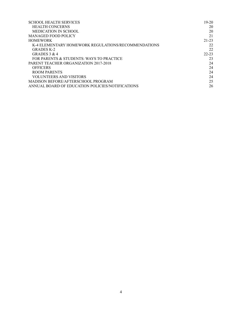<span id="page-3-0"></span>

| <b>SCHOOL HEALTH SERVICES</b>                       | $19 - 20$ |
|-----------------------------------------------------|-----------|
| <b>HEALTH CONCERNS</b>                              | 20        |
| MEDICATION IN SCHOOL                                | 20        |
| MANAGED FOOD POLICY                                 | 21        |
| <b>HOMEWORK</b>                                     | 21-23     |
| K-4 ELEMENTARY HOMEWORK REGULATIONS/RECOMMENDATIONS | 22        |
| GRADES K-2                                          | 22        |
| GRADES $3 & 4$                                      | $22 - 23$ |
| FOR PARENTS & STUDENTS: WAYS TO PRACTICE            | 23        |
| PARENT TEACHER ORGANIZATION 2017-2018               | 24        |
| <b>OFFICERS</b>                                     | 24        |
| ROOM PARENTS                                        | 24        |
| <b>VOLUNTEERS AND VISITORS</b>                      | 24        |
| MADISON BEFORE/AFTERSCHOOL PROGRAM                  | 25        |
| ANNUAL BOARD OF EDUCATION POLICIES/NOTIFICATIONS    | 26        |
|                                                     |           |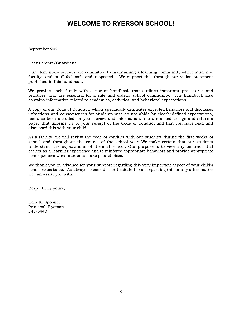# **WELCOME TO RYERSON SCHOOL!**

September 2021

Dear Parents/Guardians,

 published in this handbook. Our elementary schools are committed to maintaining a learning community where students, faculty, and staff feel safe and respected. We support this through our vision statement

 contains information related to academics, activities, and behavioral expectations. We provide each family with a parent handbook that outlines important procedures and practices that are essential for a safe and orderly school community. The handbook also

 discussed this with your child. A copy of our Code of Conduct, which specifically delineates expected behaviors and discusses infractions and consequences for students who do not abide by clearly defined expectations, has also been included for your review and information. You are asked to sign and return a paper that informs us of your receipt of the Code of Conduct and that you have read and

 consequences when students make poor choices. As a faculty, we will review the code of conduct with our students during the first weeks of school and throughout the course of the school year. We make certain that our students understand the expectations of them at school. Our purpose is to view any behavior that occurs as a learning experience and to reinforce appropriate behaviors and provide appropriate

 we can assist you with. We thank you in advance for your support regarding this very important aspect of your child's school experience. As always, please do not hesitate to call regarding this or any other matter

Respectfully yours,

<span id="page-4-0"></span> Kelly K. Spooner Principal, Ryerson 245-6440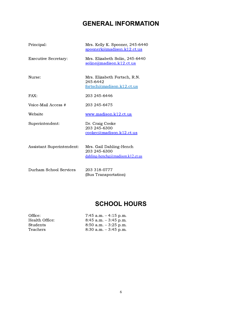# **GENERAL INFORMATION**

| Principal:                | Mrs. Kelly K. Spooner, 245-6440<br>spoonerk@madison.k12.ct.us               |
|---------------------------|-----------------------------------------------------------------------------|
| Executive Secretary:      | Mrs. Elizabeth Solin, 245-6440<br><u>soline@madison.k12.ct.us</u>           |
| Nurse:                    | Mrs. Elizabeth Fortsch, R.N.<br>245-6442<br>fortsch@madison.k12.ct.us       |
| FAX:                      | 203 245-6446                                                                |
| Voice-Mail Access #       | 203 245-6475                                                                |
| Website                   | www.madison.k12.ct.us                                                       |
| Superintendent:           | Dr. Craig Cooke<br>203 245-6300<br>cookec@madison.k12.ct.us                 |
| Assistant Superintendent: | Mrs. Gail Dahling-Hench<br>203 245-6300<br>dahling-henchg@madison.k12.ct.us |
| Durham School Services    | 203 318-0777<br>(Bus Transportation)                                        |

# **SCHOOL HOURS**

<span id="page-5-0"></span>

| Office:        | 7:45 a.m. $-4:15$ p.m.   |
|----------------|--------------------------|
| Health Office: | $8:45$ a.m. $-3:45$ p.m. |
| Students       | $8:50$ a.m. $-3:25$ p.m. |
| Teachers       | $8:30$ a.m. $-3:45$ p.m. |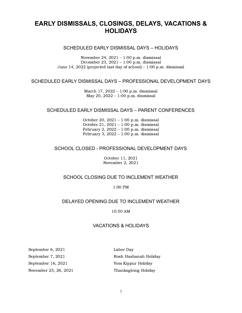# <span id="page-6-1"></span><span id="page-6-0"></span> **EARLY DISMISSALS, CLOSINGS, DELAYS, VACATIONS & HOLIDAYS**

### SCHEDULED EARLY DISMISSAL DAYS – HOLIDAYS

 November 24, 2021 – 1:00 p.m. dismissal June 14, 2022 (projected last day of school) – 1:00 p.m. dismissal December 23, 2021 – 1:00 p.m. dismissal

#### <span id="page-6-2"></span>SCHEDULED EARLY DISMISSAL DAYS – PROFESSIONAL DEVELOPMENT DAYS

 March 17, 2022 – 1:00 p.m. dismissal May 20, 2022 – 1:00 p.m. dismissal

#### <span id="page-6-3"></span>SCHEDULED EARLY DISMISSAL DAYS – PARENT CONFERENCES

 October 20, 2021 – 1:00 p.m. dismissal February 2, 2022 – 1:00 p.m. dismissal October 21, 2021 – 1:00 p.m. dismissal February 3, 2022 – 1:00 p.m. dismissal

#### <span id="page-6-4"></span>SCHOOL CLOSED - PROFESSIONAL DEVELOPMENT DAYS

 October 11, 2021 November 2, 2021

### <span id="page-6-5"></span>SCHOOL CLOSING DUE TO INCLEMENT WEATHER

1:00 PM

### <span id="page-6-6"></span>DELAYED OPENING DUE TO INCLEMENT WEATHER

10:50 AM

#### VACATIONS & HOLIDAYS

<span id="page-6-7"></span>September 6, 2021 Labor Day September 7, 2021 September 16, 2021

November 25, 26, 2021 Thanksgiving Holiday Rosh Hashanah Holiday Yom Kippur Holiday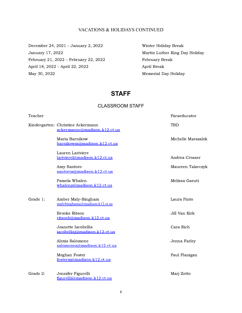#### VACATIONS & HOLIDAYS CONTINUED

<span id="page-7-0"></span> December 24, 2021 – January 2, 2022 Winter Holiday Break January 17, 2022 February 21, 2022 – February 22, 2022 February Break April 18, 2022 – April 22, 2022 April Break May 30, 2022

Martin Luther King Day Holiday Memorial Day Holiday

# **STAFF**

### CLASSROOM STAFF

<span id="page-7-1"></span>

| Teacher  |                                                                   | Paraeducator       |
|----------|-------------------------------------------------------------------|--------------------|
|          | Kindergarten: Christine Ackermann<br>ackermannc@madison.k12.ct.us | <b>TBD</b>         |
|          | Maria Barnikow<br>barnikowm@madison.k12.ct.us                     | Michelle Marszalek |
|          | Lauren Lariviere<br>larivierel@madison.k12.ct.us                  | Andrea Creaser     |
|          | Amy Santoro<br>santoroa@madison.k12.ct.us                         | Maureen Talarczyk  |
|          | Pamela Whalen<br>whalenp@madison.k12.ct.us                        | Melissa Garuti     |
| Grade 1: | Amber Maly-Bingham<br>malybinghama@madison.k12.ct.us              | Laura Pinto        |
|          | <b>Brooke Ritson</b><br>ritsonb@madison.k12.ct.us                 | Jill Van Kirk      |
|          | Jeanette Iacobellis<br>iacobellisj@madison.k12.ct.us              | Cara Rich          |
|          | Alexis Salomone<br>salomonea@madison.k12.ct.us                    | Jenna Farley       |
|          | Meghan Foster<br>fosterm@madison.k12.ct.us                        | Paul Flanigan      |
| Grade 2: | Jennifer Figurelli<br>figurelli@madison.k12.ct.us                 | Marj Zotto         |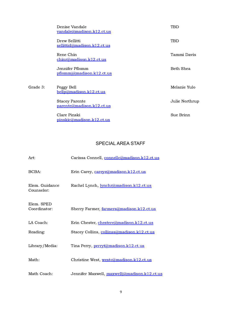|          | Denise Vandale<br>vandale@madison.k12.ct.us          | TBD            |
|----------|------------------------------------------------------|----------------|
|          | Drew Sellitti<br>sellittid@madison.k12.ct.us         | TBD            |
|          | Rene Chin<br><u>chinr@madison.k12.ct.us</u>          | Tammi Davis    |
|          | Jennifer Pflomm<br>pflommj@madison.k12.ct.us         | Beth Shea      |
| Grade 3: | Peggy Bell<br>bellp@madison.k12.ct.us                | Melanie Yulo   |
|          | <b>Stacey Parente</b><br>parente@madison.k12.ct.us   | Julie Northrup |
|          | Clare Pinski<br>$pinski\alpha$ madison. $k12$ ct. us | Sue Brinn      |

# SPECIAL AREA STAFF

<span id="page-8-0"></span>

| Art:                         | Carissa Connell, connellc@madison.k12.ct.us  |
|------------------------------|----------------------------------------------|
| BCBA:                        | Erin Carey, careye@madison.k12.ct.us         |
| Elem. Guidance<br>Counselor: | Rachel Lynch, lynchr@madison.k12.ct.us       |
| Elem. SPED<br>Coordinator:   | Sherry Farmer, farmers@madison.k12.ct.us     |
| LA Coach:                    | Erin Chester, chestere@madison.k12.ct.us     |
| Reading:                     | Stacey Collins, collinss@madison.k12.ct.us   |
| Library/Media:               | Tina Perry, perryt@madison.k12.ct.us         |
| Math:                        | Christine West, westc@madison.k12.ct.us      |
| Math Coach:                  | Jennifer Maxwell, maxwellj@madison.k12.ct.us |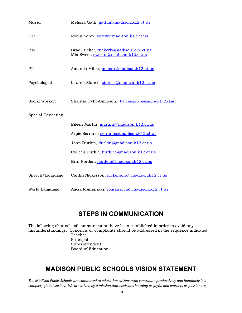| Music:             | Melissa Gatti, gattim@madison.k12.ct.us                                       |
|--------------------|-------------------------------------------------------------------------------|
| OT:                | Robin Sorey, soreyr@madison.k12.ct.us                                         |
| P.E.               | Brad Tucker, tuckerb@madison.k12.ct.us<br>Mia Sweet, sweetm@madison.k12.ct.us |
| PT:                | Amanda Miller, millera@madison.k12.ct.us                                      |
| Psychologist:      | Lauren Stanco, stancol@madison.k12.ct.us                                      |
| Social Worker:     | Shantae Fyffe-Simpson, fyffesimpsons@madison.k12.ct.us                        |
| Special Education: |                                                                               |
|                    | Eileen Martin, martine@madison.k12.ct.us                                      |
|                    | Arpie Serrano, serranoa@madison.k12.ct.us                                     |
|                    | John Durkin, durkinj@madison.k12.ct.us                                        |
|                    | Colleen Burkle, burklec@madison.k12.ct.us                                     |
|                    | Erin Norden, nordene@madison.k12.ct.us                                        |
| Speech/Language:   | Caitlin Nickerson, nickersonc@madison.k12.ct.us                               |
| World Language:    | Alicia Romanacci, romanaccia@madison.k12.ct.us                                |

# **STEPS IN COMMUNICATION**

<span id="page-9-0"></span> The following channels of communication have been established in order to avoid any misunderstandings. Concerns or complaints should be addressed in the sequence indicated: Board of Education Teacher Principal Superintendent

# <span id="page-9-1"></span> **MADISON PUBLIC SCHOOLS VISION STATEMENT**

The Madison Public Schools are committed to education citizens who contribute productively and humanely in a complex, global society. We are driven by a mission that envisions learning as joyful and learners as passionate,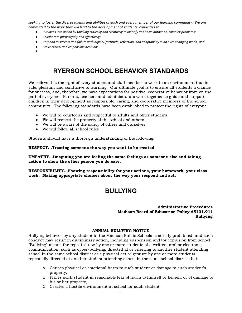seeking to foster the diverse talents and abilities of each and every member of our learning community. We are  *committed to the work that will lead to the development of students' capacities to:*

- *Put ideas into action by thinking critically and creatively to identify and solve authentic, complex problems;*
- *Collaborate purposefully and effectively;*
- *Respond to success and failure with dignity, fortitude, reflection, and adaptability in an ever-changing world; and*
- *Make ethical and responsible decisions.*
- <span id="page-10-0"></span>●

# **RYERSON SCHOOL BEHAVIOR STANDARDS**

 We believe it is the right of every student and staff member to work in an environment that is safe, pleasant and conducive to learning. Our ultimate goal is to ensure all students a chance for success, and, therefore, we have expectations for positive, cooperative behavior from on the part of everyone. Parents, teachers and administrators work together to guide and support children in their development as responsible, caring, and cooperative members of the school community. The following standards have been established to protect the rights of everyone:

- We will be courteous and respectful to adults and other students
- We will respect the property of the school and others
- We will be aware of the safety of others and ourselves
- We will follow all school rules

Students should have a thorough understanding of the following:

#### RESPECT…Treating someone the way you want to be treated

#### EMPATHY…Imagining you are feeling the same feelings as someone else and taking action to show the other person you do care.

<span id="page-10-1"></span> RESPONSIBILITY…Showing responsibility for your actions, your homework, your class work. Making appropriate choices about the way your respond and act.

# **BULLYING**

#### Madison Board of Education Policy #5131.911 Administrative Procedures Bullying

#### ANNUAL BULLYING NOTICE

 Bullying behavior by any student in the Madison Public Schools is strictly prohibited, and such conduct may result in disciplinary action, including suspension and/or expulsion from school. "Bullying" means the repeated use by one or more students of a written; oral or electronic communication, such as cyber-bullying, directed at or referring to another student attending school in the same school district or a physical act or gesture by one or more students repeatedly directed at another student attending school in the same school district that:

- A. Causes physical or emotional harm to such student or damage to such student's property,
- B. Places such student in reasonable fear of harm to himself or herself, or of damage to his or her property,
- C. Creates a hostile environment at school for such student,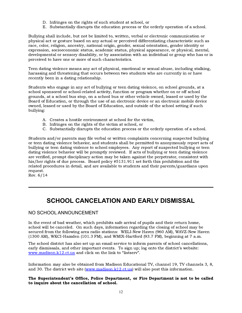- D. Infringes on the rights of such student at school, or
- E. Substantially disrupts the education process or the orderly operation of a school.

 Bullying shall include, but not be limited to, written, verbal or electronic communication or physical act or gesture based on any actual or perceived differentiating characteristic such as race, color, religion, ancestry, national origin, gender, sexual orientation, gender identity or expression, socioeconomic status, academic status, physical appearance, or physical, mental, developmental or sensory disability, or by association with an individual or group who has or is perceived to have one or more of such characteristics.

 Teen dating violence means any act of physical, emotional or sexual abuse, including stalking, harassing and threatening that occurs between two students who are currently in or have recently been in a dating relationship.

 Students who engage in any act of bullying or teen dating violence, on school grounds, at a school sponsored or school-related activity, function or program whether on or off school grounds, at a school bus stop, on a school bus or other vehicle owned, leased or used by the Board of Education, or through the use of an electronic device or an electronic mobile device owned, leased or used by the Board of Education, and outside of the school setting if such bullying:

- A. Creates a hostile environment at school for the victim,
- B. Infringes on the rights of the victim at school, or
- C. Substantially disrupts the education process or the orderly operation of a school.

 Students and/or parents may file verbal or written complaints concerning suspected bullying or teen dating violence behavior, and students shall be permitted to anonymously report acts of bullying or teen dating violence to school employees. Any report of suspected bullying or teen dating violence behavior will be promptly reviewed. If acts of bullying or teen dating violence are verified, prompt disciplinary action may be taken against the perpetrator, consistent with his/her rights of due process. Board policy #5131.911 set forth this prohibition and the related procedures in detail, and are available to students and their parents/guardians upon request.

<span id="page-11-0"></span>Rev. 6/14

# **SCHOOL CANCELATION AND EARLY DISMISSAL**

### <span id="page-11-1"></span>NO SCHOOL ANNOUNCEMENT

 In the event of bad weather, which prohibits safe arrival of pupils and their return home, school will be canceled. On such days, information regarding the closing of school may be secured from the following area radio stations: WELI-New Haven (960 AM), WAVZ-New Haven (1300 AM), WKCI-Hamden (101.3 FM), and WMIX-Hartford (93.7 FM), beginning at 7 a.m.

 The school district has also set up an email service to inform parents of school cancellations, early dismissals, and other important events. To sign up; log onto the district's website: [www.madison.k12.ct.us](http://www.khryerson.org) and click on the link to "listsery".

and 30. The district web site [\(www.madison.k12.ct.us\)](http://www.madison.k12.ct.us) will also post this information. Information may also be obtained from Madison Educational TV, channel 19, TV channels 3, 8,

#### to inquire about the cancellation of school. The Superintendent's Office, Police Department, or Fire Department is not to be called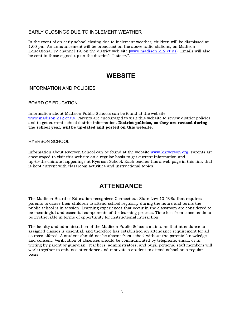### <span id="page-12-0"></span>EARLY CLOSINGS DUE TO INCLEMENT WEATHER

 In the event of an early school closing due to inclement weather, children will be dismissed at 1:00 pm. An announcement will be broadcast on the above radio stations, on Madison Educational TV channel 19, on the district web site [\(www.madison.k12.ct.us\)](http://www.madison.k12.ct.us). Emails will also be sent to those signed up on the district's "listserv".  $\overline{\phantom{a}}$ 

# **WEBSITE**

### <span id="page-12-3"></span><span id="page-12-2"></span><span id="page-12-1"></span>INFORMATION AND POLICIES

BOARD OF EDUCATION

 Information about Madison Public Schools can be found at the website [www.madison.k12.ct.us.](http://www.madison.k12.ct.us) Parents are encouraged to visit this website to review district policies and to get current school district information. **District policies, as they are revised during** the school year, will be up-dated and posted on this website.

#### <span id="page-12-4"></span>RYERSON SCHOOL

<span id="page-12-5"></span> Information about Ryerson School can be found at the website [www.khryerson.org](http://www.khryerson.org). Parents are encouraged to visit this website on a regular basis to get current information and up-to-the-minute happenings at Ryerson School. Each teacher has a web page in this link that is kept current with classroom activities and instructional topics.

# **ATTENDANCE**

 The Madison Board of Education recognizes Connecticut State Law 10-198a that requires parents to cause their children to attend school regularly during the hours and terms the public school is in session. Learning experiences that occur in the classroom are considered to be meaningful and essential components of the learning process. Time lost from class tends to be irretrievable in terms of opportunity for instructional interaction.

<span id="page-12-6"></span> The faculty and administration of the Madison Public Schools maintains that attendance to assigned classes is essential, and therefore has established an attendance requirement for all courses offered. A student should not be absent from school without the parents' knowledge and consent. Verification of absences should be communicated by telephone, email, or in writing by parent or guardian. Teachers, administrators, and pupil personal staff members will work together to enhance attendance and motivate a student to attend school on a regular basis.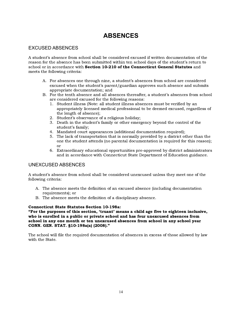# **ABSENCES**

### <span id="page-13-0"></span>EXCUSED ABSENCES

 A student's absence from school shall be considered excused if written documentation of the reason for the absence has been submitted within ten school days of the student's return to school or in accordance with Section 10-210 of the Connecticut General Statutes and meets the following criteria:

- A. For absences one through nine, a student's absences from school are considered excused when the student's parent/guardian approves such absence and submits appropriate documentation; and
- B. For the tenth absence and all absences thereafter, a student's absences from school are considered excused for the following reasons:
	- 1. Student illness (Note: all student illness absences must be verified by an appropriately licensed medical professional to be deemed excused, regardless of the length of absence);
	- 2. Student's observance of a religious holiday;
	- 3. Death in the student's family or other emergency beyond the control of the student's family;
	- 4. Mandated court appearances (additional documentation required);
	- 5. The lack of transportation that is normally provided by a district other than the one the student attends (no parental documentation is required for this reason); or
	- 6. Extraordinary educational opportunities pre-approved by district administrators and in accordance with Connecticut State Department of Education guidance.

### <span id="page-13-1"></span>UNEXCUSED ABSENCES

 A student's absence from school shall be considered unexcused unless they meet one of the following criteria:

- A. The absence meets the definition of an excused absence (including documentation requirements); or
- B. The absence meets the definition of a disciplinary absence.

#### Connecticut State Statutes Section 10-198a:

 "For the purposes of this section, 'truant' means a child age five to eighteen inclusive, who is enrolled in a public or private school and has four unexcused absences from school in any one month or ten unexcused absences from school in any school year CONN. GEN. STAT. §10-198a(a) (2008)."

<span id="page-13-2"></span> The school will file the required documentation of absences in excess of those allowed by law with the State.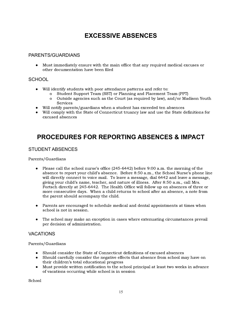# **EXCESSIVE ABSENCES**

### <span id="page-14-0"></span>PARENTS/GUARDIANS

 ● Must immediately ensure with the main office that any required medical excuses or other documentation have been filed

### <span id="page-14-1"></span>**SCHOOL**

- ● Will identify students with poor attendance patterns and refer to:
	- o Student Support Team (SST) or Planning and Placement Team (PPT)
	- o Outside agencies such as the Court (as required by law), and/or Madison Youth Services
- Will notify parents/guardians when a student has exceeded ten absences
- ● Will comply with the State of Connecticut truancy law and use the State definitions for excused absences

# <span id="page-14-2"></span> **PROCEDURES FOR REPORTING ABSENCES & IMPACT**

### <span id="page-14-3"></span>STUDENT ABSENCES

Parents/Guardians

- ● Please call the school nurse's office (245-6442) before 9:00 a.m. the morning of the absence to report your child's absence. Before 8:50 a.m., the School Nurse's phone line will directly connect to voice mail. To leave a message, dial 6442 and leave a message, giving your child's name, teacher, and nature of illness. After 8:50 a.m., call Mrs. Fortsch directly at 245-6442. The Health Office will follow up on absences of three or more consecutive days. When a child returns to school after an absence, a note from the parent should accompany the child.
- ● Parents are encouraged to schedule medical and dental appointments at times when school is not in session.
- ● The school may make an exception in cases where extenuating circumstances prevail per decision of administration.

### <span id="page-14-4"></span>VACATIONS

Parents/Guardians

- Should consider the State of Connecticut definitions of excused absences
- ● Should carefully consider the negative effects that absence from school may have on their children's total educational progress
- ● Must provide written notification to the school principal at least two weeks in advance of vacations occurring while school is in session

School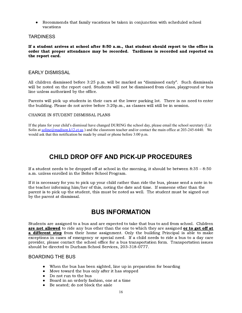● Recommends that family vacations be taken in conjunction with scheduled school vacations

### <span id="page-15-0"></span>**TARDINESS**

 the report card. If a student arrives at school after 8:50 a.m., that student should report to the office in order that proper attendance may be recorded. Tardiness is recorded and reported on

### <span id="page-15-1"></span>EARLY DISMISSAL

 line unless authorized by the office. All children dismissed before 3:25 p.m. will be marked as "dismissed early". Such dismissals will be noted on the report card. Students will not be dismissed from class, playground or bus

 the building. Please do not arrive before 3:20p.m., as classes will still be in session. Parents will pick up students in their cars at the lower parking lot. There is no need to enter

#### CHANGE IN STUDENT DISMISSAL PLANS

<span id="page-15-2"></span> If the plans for your child's dismissal have changed DURING the school day, please email the school secretary (Liz Solin at [soline@madison.k12.ct.us](mailto:soline@madison.k12.ct.us)) and the classroom teacher and/or contact the main office at 203-245-6440. We would ask that this notification be made by email or phone before 3:00 p.m.

# **CHILD DROP OFF AND PICK-UP PROCEDURES**

 If a student needs to be dropped off at school in the morning, it should be between 8:35 – 8:50 a.m. unless enrolled in the Before School Program.

<span id="page-15-3"></span> If it is necessary for you to pick up your child rather than ride the bus, please send a note in to the teacher informing him/her of this, noting the date and time. If someone other than the parent is to pick up the student, this must be noted as well. The student must be signed out by the parent at dismissal.

# **BUS INFORMATION**

 should be directed to Durham School Services, 203-318-0777. Students are assigned to a bus and are expected to take that bus to and from school. Children are not allowed to ride any bus other than the one to which they are assigned or to get off at **a different stop** from their home assignment. Only the building Principal is able to make exceptions in cases of emergency or special need. If a child needs to ride a bus to a day care provider, please contact the school office for a bus transportation form. Transportation issues

### <span id="page-15-4"></span>BOARDING THE BUS

- When the bus has been sighted, line up in preparation for boarding
- Move toward the bus only after it has stopped
- Do not run to the bus
- Board in an orderly fashion, one at a time
- Be seated; do not block the aisle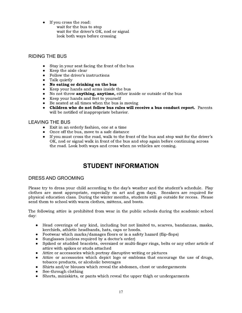- ● If you cross the road:
	- wait for the bus to stop wait for the driver's O $\rm\bar{k}$ , nod or signal look both ways before crossing

## <span id="page-16-0"></span>RIDING THE BUS

- Stay in your seat facing the front of the bus
- Keep the aisle clear
- Follow the driver's instructions
- Talk quietly
- No eating or drinking on the bus
- Keep your hands and arms inside the bus
- $\bullet$  No not throw **anything, anytime,** either inside or outside of the bus
- Keep your hands and feet to yourself
- Be seated at all times when the bus is moving
- ● Children who do not follow bus rules will receive a bus conduct report. Parents will be notified of inappropriate behavior.

### <span id="page-16-1"></span>LEAVING THE BUS

- Exit in an orderly fashion, one at a time
- Once off the bus, move to a safe distance
- ● If you must cross the road, walk to the front of the bus and stop wait for the driver's OK, nod or signal walk in front of the bus and stop again before continuing across the road. Look both ways and cross when no vehicles are coming.

# **STUDENT INFORMATION**

### <span id="page-16-3"></span><span id="page-16-2"></span>DRESS AND GROOMING

send them to school with warm clothes, mittens, and boots. Please try to dress your child according to the day's weather and the student's schedule. Play clothes are most appropriate, especially on art and gym days. Sneakers are required for physical education class. During the winter months, students still go outside for recess. Please

The following attire is prohibited from wear in the public schools during the academic school day:

- kerchiefs, athletic headbands, hats, caps or hoods. ● Head coverings of any kind, including but not limited to, scarves, bandannas, masks,
- Footwear which marks/damages floors or is a safety hazard (flip-flops)
- Sunglasses (unless required by a doctor's order)
- attire with spikes or studs attached ● Spiked or studded bracelets, oversized or multi-finger rings, belts or any other article of
- Attire or accessories which portray disruptive writing or pictures
- tobacco products, or alcoholic beverages Attire or accessories which depict logo or emblems that encourage the use of drugs,
- Shirts and/or blouses which reveal the abdomen, chest or undergarments
- See-through clothing
- Shorts, miniskirts, or pants which reveal the upper thigh or undergarments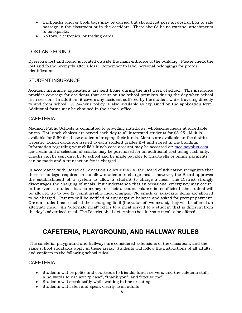- Backpacks and/or book bags may be carried but should not pose an obstruction to safe passage in the classroom or in the corridors. There should be no external attachments to backpacks.
- <span id="page-17-0"></span>● No toys, electronics, or trading cards

## LOST AND FOUND

 Ryerson's lost and found is located outside the main entrance of the building. Please check the lost and found promptly after a loss. Remember to label personal belongings for proper identification.

### <span id="page-17-1"></span>STUDENT INSURANCE

 Additional forms may be obtained in the school office. Accident insurance applications are sent home during the first week of school. This insurance provides coverage for accidents that occur on the school premises during the day when school is in session. In addition, it covers any accident suffered by the student while traveling directly to and from school. A 24-hour policy is also available as explained on the application form.

## <span id="page-17-2"></span>**CAFETERIA**

 Madison Public Schools is committed to providing nutritious, wholesome meals at affordable prices. Hot lunch choices are served each day to all interested students for \$3.25. Milk is available for \$.50 for those students bringing their lunch. Menus are available on the district website. Lunch cards are issued to each student grades K-4 and stored in the building. Information regarding your child's lunch card account may be accessed at: [mealpayplus.com](http://mealpayplus.com). Ice-cream and a selection of snacks may be purchased for an additional cost using cash only.<br>Checks can be sent directly to school and be made payable to Chartwells or online payments Checks can be sent directly to school and be made payable to Chartwells or online payments can be made and a transaction fee is charged.

 the day's advertised meal. The District shall determine the alternate meal to be offered. In accordance with Board of Education Policy #3542.4, the Board of Education recognizes that there is no legal requirement to allow students to charge meals; however, the Board approves the establishment of a system to allow a student to charge a meal. The District strongly discourages the charging of meals, but understands that an occasional emergency may occur. In the event a student has no money, or their account balance is insufficient, the student will be allowed up to two (2) reimbursable meal charges. No snack or a-la-carte items are allowed to be charged. Parents will be notified of any negative balance and asked for prompt payment. Once a student has reached their charging limit (the value of two meals), they will be offered an alternate meal. An "alternate meal" refers to a meal served to a student that is different from

# <span id="page-17-3"></span> **CAFETERIA, PLAYGROUND, AND HALLWAY RULES**

 The cafeteria, playground and hallways are considered extensions of the classroom, and the same school standards apply in these areas. Students will follow the instructions of all adults, and conform to the following school rules:

### <span id="page-17-4"></span>**CAFETERIA**

- ● Students will be polite and courteous to friends, lunch servers, and the cafeteria staff. Kind words to use are: "please", "thank you", and "excuse me".
- Students will speak softly while waiting in line or eating
- Students will listen and speak clearly to all adults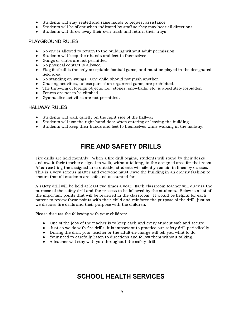- Students will stay seated and raise hands to request assistance
- Students will be silent when indicated by staff so they may hear all directions
- Students will throw away their own trash and return their trays

### <span id="page-18-0"></span>PLAYGROUND RULES

- No one is allowed to return to the building without adult permission
- Students will keep their hands and feet to themselves
- Gangs or clubs are not permitted
- No physical contact is allowed
- ● Flag football is the only acceptable football game, and must be played in the designated field area.
- No standing on swings. One child should not push another.
- Chasing activities, unless part of an organized game, are prohibited.
- The throwing of foreign objects, i.e., stones, snowballs, etc. is absolutely forbidden
- Fences are not to be climbed
- Gymnastics activities are not permitted.

#### <span id="page-18-1"></span>HALLWAY RULES

- Students will walk quietly on the right side of the hallway
- Students will use the right-hand door when entering or leaving the building.
- <span id="page-18-2"></span>● Students will keep their hands and feet to themselves while walking in the hallway.

# **FIRE AND SAFETY DRILLS**

 Fire drills are held monthly. When a fire drill begins, students will stand by their desks and await their teacher's signal to walk, without talking, to the assigned area for that room. After reaching the assigned area outside, students will silently remain in lines by classes. This is a very serious matter and everyone must leave the building in an orderly fashion to ensure that all students are safe and accounted for.

 A safety drill will be held at least two times a year. Each classroom teacher will discuss the purpose of the safety drill and the process to be followed by the students. Below is a list of the important points that will be reviewed in the classroom. It would be helpful for each parent to review these points with their child and reinforce the purpose of the drill, just as we discuss fire drills and their purpose with the children.

Please discuss the following with your children:

- One of the jobs of the teacher is to keep each and every student safe and secure
- Just as we do with fire drills, it is important to practice our safety drill periodically
- During the drill, your teacher or the adult-in-charge will tell you what to do.
- Your need to carefully listen to directions and follow them without talking.
- <span id="page-18-3"></span>● A teacher will stay with you throughout the safety drill.

# **SCHOOL HEALTH SERVICES**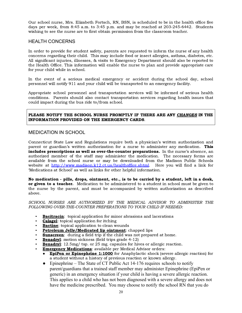wishing to see the nurse are to first obtain permission from the classroom teacher. Our school nurse, Mrs. Elizabeth Fortsch, RN, BSN, is scheduled to be in the health office five days per week, from 8:45 a.m. to 3:45 p.m. and may be reached at 203-245-6442. Students

#### <span id="page-19-0"></span>HEALTH CONCERNS

 for your child while in school. In order to provide for student safety, parents are requested to inform the nurse of any health concerns regarding their child. This may include food or insect allergies, asthma, diabetes, etc. All significant injuries, illnesses, & visits to Emergency Department should also be reported to the Health Office. This information will enable the nurse to plan and provide appropriate care

 personnel will notify 911 and your child will be transported to an emergency facility. In the event of a serious medical emergency or accident during the school day, school

 could impact during the bus ride to/from school. Appropriate school personnel and transportation services will be informed of serious health conditions. Parents should also contact transportation services regarding health issues that

#### INFORMATION PROVIDED ON THE EMERGENCY CARDS. PLEASE NOTIFY THE SCHOOL NURSE PROMPTLY IF THERE ARE ANY CHANGES IN THE

### <span id="page-19-1"></span>MEDICATION IN SCHOOL

 'Medications at School' as well as links for other helpful information. Connecticut State Law and Regulations require both a physician's written authorization and parent or guardian's written authorization for a nurse to administer any medication. **This** includes prescriptions as well as over-the-counter preparations. In the nurse's absence, an authorized member of the staff may administer the medication. The necessary forms are available from the school nurse or may be downloaded from the Madison Public Schools website at <http://www.madison.k12.ct.us/healthoffice.shtml>. Here you will find a link for

No medication - pills, drops, ointment, etc., is to be carried by a student, left in a desk, or given to a teacher. Medication to be administered to a student in school must be given to the nurse by the parent, and must be accompanied by written authorization as described above.

 FOLLOWING OVER-THE-COUNTER PREPERATIONS TO YOUR CHILD IF NEEDED: SCHOOL NURSES ARE AUTHORIZED BY THE MEDICAL ADVISOR TO ADMINISTER THE

- **Bacitracin**: topical application for minor abrasions and lacerations
- **Calagel:** topical application for itching
- $\blacksquare$  **Bactine**: topical application to clean wounds
- **Petroleum Jelly/Medicated lip ointment**: chapped lips
- **Sunscreen:** during a field trip if the child was not prepared at home.
- **Benadryl:** motion sickness (field trips grade  $4-12$ )
- **Benadryl:** 12.5mg/ tsp. or 25 mg. capsules for hives or allergic reaction.
- **Emergency Medications:** available per Medical Advisor orders:
	- a student without a history of previous reaction or known allergy. **EpiPen or Epinephrine 1:1000** for Anaphylactic shock (severe allergic reaction) for
	- have the medicine prescribed. You may choose to notify the school RN that you do • Epinephrine – The State of CT Public Act  $14-176$  requires schools to notify parent/guardians that a trained staff member may administer Epinephrine (EpiPen or generic) in an emergency situation if your child is having a severe allergic reaction. This applies to a child who has not been diagnosed with a severe allergy and does not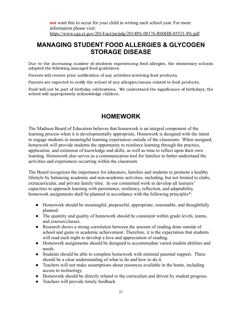# <span id="page-20-0"></span> **MANAGING STUDENT FOOD ALLERGIES & GLYCOGEN STORAGE DISEASE**

 adopted the following managed food guidelines: Due to the increasing number of students experiencing food allergies, the elementary schools

Parents will receive prior notification of any activities involving food products.

Parents are expected to notify the school of any allergies/issues related to food products.

<span id="page-20-1"></span> school will appropriately acknowledge children. Food will not be part of birthday celebrations. We understand the significance of birthdays; the

# **HOMEWORK**

The Madison Board of Education believes that homework is an integral component of the learning process when it is developmentally appropriate. Homework is designed with the intent to engage students in meaningful learning experiences outside of the classroom. When assigned, homework will provide students the opportunity to reinforce learning through the practice, application, and extension of knowledge and skills, as well as time to reflect upon their own learning*.* Homework also serves as a communication tool for families to better understand the activities and experiences occurring within the classroom*.*

The Board recognizes the importance for educators, families and students to promote a healthy lifestyle by balancing academic and non-academic activities, including, but not limited to clubs, extracurricular, and private family time. In our committed work to develop all learners' capacities to approach learning with persistence, resiliency, reflection, and adaptability, homework assignments shall be planned in accordance with the following principles<sup>\*</sup>:

- Homework should be meaningful, purposeful, appropriate, reasonable, and thoughtfully planned.
- The quantity and quality of homework should be consistent within grade levels, teams, and courses/classes.
- Research shows a strong correlation between the amount of reading done outside of school and gains in academic achievement. Therefore, it is the expectation that students will read each night to develop a love and appreciation of reading.
- Homework assignments should be designed to accommodate varied student abilities and needs.
- Students should be able to complete homework with minimal parental support. There should be a clear understanding of what to do and how to do it.
- Teachers will not make assumptions about resources available in the home, including access to technology.
- Homework should be directly related to the curriculum and driven by student progress.
- Teachers will provide timely feedback.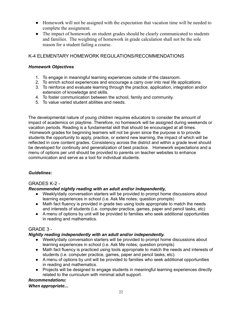- Homework will not be assigned with the expectation that vacation time will be needed to complete the assignment.
- The impact of homework on student grades should be clearly communicated to students and families. The weighting of homework in grade calculation shall not be the sole reason for a student failing a course.

# <span id="page-21-0"></span>K-4 ELEMENTARY HOMEWORK REGULATIONS/RECOMMENDATIONS

# *Homework Objectives*

- 1. To engage in meaningful learning experiences outside of the classroom.
- 2. To enrich school experiences and encourage a carry over into real life applications.
- 3. To reinforce and evaluate learning through the practice, application, integration and/or extension of knowledge and skills.
- 4. To foster communication between the school, family and community.
- 5. To value varied student abilities and needs.

 The developmental nature of young children requires educators to consider the amount of impact of academics on playtime. Therefore, no homework will be assigned during weekends or vacation periods. Reading is a fundamental skill that should be encouraged at all times. Homework grades for beginning learners will not be given since the purpose is to provide students the opportunity to apply, practice, or extend new learning, the impact of which will be reflected in core content grades. Consistency across the district and within a grade level should be developed for continuity and generalization of best practice. Homework expectations and a menu of options per unit should be provided to parents on teacher websites to enhance communication and serve as a tool for individual students.

# <span id="page-21-1"></span>*Guidelines:*

# GRADES K-2 -

# *Recommended nightly reading with an adult and/or independently,*

- ● Weekly/daily conversation starters will be provided to prompt home discussions about learning experiences in school (i.e. Ask Me notes; question prompts)
- ● Math fact fluency is provided in grade two using tools appropriate to match the needs and interests of students (i.e. computer practice, games, paper and pencil tasks, etc)
- ● A menu of options by unit will be provided to families who seek additional opportunities in reading and mathematics.

# <span id="page-21-2"></span>GRADE 3 -

# *Nightly reading independently with an adult and/or independently.*

- ● Weekly/daily conversation starters will be provided to prompt home discussions about learning experiences in school (i.e. Ask Me notes; question prompts)
- ● Math fact fluency is practiced using tools appropriate to match the needs and interests of students (i.e. computer practice, games, paper and pencil tasks, etc).
- ● A menu of options by unit will be provided to families who seek additional opportunities in reading and mathematics.
- ● Projects will be designed to engage students in meaningful learning experiences directly related to the curriculum with minimal adult support.

# *Recommendations:*

### *When appropriate...*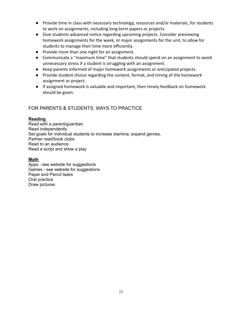- Provide time in class with necessary technology, resources and/or materials, for students to work on assignments, including long-term papers or projects.
- Give students advanced notice regarding upcoming projects. Consider previewing homework assignments for the week, or major assignments for the unit, to allow for students to manage their time more efficiently.
- Provide more than one night for an assignment.
- Communicate a "maximum time" that students should spend on an assignment to avoid unnecessary stress if a student is struggling with an assignment.
- Keep parents informed of major homework assignments or anticipated projects.
- Provide student choice regarding the content, format, and timing of the homework assignment or project.
- If assigned homework is valuable and important, then timely feedback on homework should be given.

# <span id="page-22-0"></span>FOR PARENTS & STUDENTS: WAYS TO PRACTICE

### **Reading**

 Read with a parent/guardian Set goals for individual students to increase stamina, expand genres, Partner read/book clubs Read to an audience Read a script and show a play Read independently

### **Math**

<span id="page-22-1"></span> Apps - see website for suggestions Games - see website for suggestions Paper and Pencil tasks Oral practice Draw pictures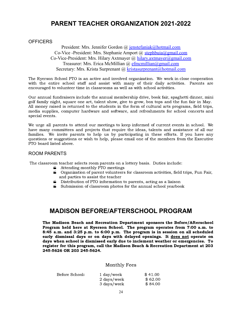# **PARENT TEACHER ORGANIZATION 2021-2022**

#### <span id="page-23-0"></span>**OFFICERS**

President: Mrs. Jennifer Gordon @ [jenstefaniak@hotmail.com](mailto:jenstefaniak@hotmail.com) Co-Vice -President: Mrs. Stephanie Amport @ [stephbuia@gmail.com](mailto:stephbuia@gmail.com) Co-Vice-President: Mrs. Hilary Axtmayer @ [hilary.axtmayer@gmail.com](mailto:hilary.axtmayer@gmail.com) Treasurer: Mrs. Erica McMillian @ [efmcmillian@gmail.com](mailto:efmcmillian@gmail.com) Secretary: Mrs. Krista Surprenant @ [kristasurprenant@hotmail.com](mailto:kristasurprenant@hotmail.com)

 encouraged to volunteer time in classrooms as well as with school activities. The Ryerson School PTO is an active and involved organization. We work in close cooperation with the entire school staff and assist with many of their daily activities. Parents are

Our annual fundraisers include the annual membership drive, book fair, spaghetti dinner, mini golf family night, square one art, talent show, give to grow, box tops and the fun fair in May. All money raised is returned to the students in the form of cultural arts programs, field trips, media supplies, computer hardware and software, and refreshments for school concerts and special events.

 PTO board listed above. We urge all parents to attend our meetings to keep informed of current events in school. We have many committees and projects that require the ideas, talents and assistance of all our families. We invite parents to help us by participating in these efforts. If you have any questions or suggestions or wish to help, please email one of the members from the Executive

### <span id="page-23-1"></span>ROOM PARENTS

The classroom teacher selects room parents on a lottery basis. Duties include:

- **E** Attending monthly PTO meetings
- Organization of parent volunteers for classroom activities, field trips, Fun Fair, and parties to assist the teacher
- Distribution of PTO information to parents, acting as a liaison
- $\blacktriangle$  Submission of classroom photos for the annual school yearbook

# <span id="page-23-2"></span>**MADISON BEFORE/AFTERSCHOOL PROGRAM**

 245-5626 OR 203 245-5624. The Madison Beach and Recreation Department sponsors the Before/Afterschool Program held here at Ryerson School. The program operates from 7:00 a.m. to 8:45 a.m. and 3:25 p.m. to 6:00 p.m. The program is in session on all scheduled early dismissal days or on days with delayed openings. It does not operate on days when school is dismissed early due to inclement weather or emergencies. To register for this program, call the Madison Beach & Recreation Department at 203

#### Monthly Fees

| Before School: | 1 day/week  | \$41.00 |
|----------------|-------------|---------|
|                | 2 days/week | \$62.00 |
|                | 3 days/week | \$84.00 |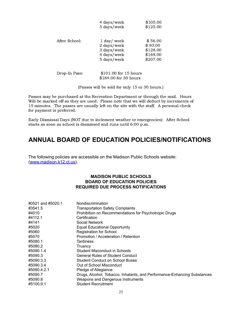|               | 4 days/week<br>5 days/week                                                | \$105.00<br>\$125.00                                   |
|---------------|---------------------------------------------------------------------------|--------------------------------------------------------|
| After School: | $1$ day/ week<br>2 days/week<br>3 days/week<br>4 days/week<br>5 days/week | \$56.00<br>\$93.00<br>\$128.00<br>\$169.00<br>\$207.00 |
| Drop-In Pass: | \$101.00 for 15 hours<br>\$184.00 for 30 hours                            |                                                        |

(Passes will be sold for only 15 or 30 hours.)

 Passes may be purchased at the Recreation Department or through the mail. Hours Will be marked off as they are used. Please note that we will deduct by increments of 15 minutes. The passes are usually left on the site with the staff. A personal check for payment is preferred.

 Early Dismissal Days (NOT due to inclement weather or emergencies): After School starts as soon as school is dismissed and runs until 6:00 p.m.

# **ANNUAL BOARD OF EDUCATION POLICIES/NOTIFICATIONS**

 The following policies are accessible on the Madison Public Schools website: ([www.madison.k12.ct.us\)](http://www.madison.k12.ct.us).

#### **MADISON PUBLIC SCHOOLS BOARD OF EDUCATION POLICIES REQUIRED DUE PROCESS NOTIFICATIONS**

| #0521 and #5020.1 | Nondiscrimination                                                        |
|-------------------|--------------------------------------------------------------------------|
| #3541.5           | <b>Transportation Safety Complaints</b>                                  |
| #4010             | Prohibition on Recommendations for Psychotropic Drugs                    |
| #4112.1           | Certification                                                            |
| #4141             | Social Network                                                           |
| #5020             | <b>Equal Educational Opportunity</b>                                     |
| #5060             | <b>Registration for School</b>                                           |
| #5070             | Promotion / Acceleration / Retention                                     |
| #5080.1           | Tardiness                                                                |
| #5080.2           | Truancy                                                                  |
| #5090.1.4         | Student Misconduct in Schools                                            |
| #5090.3           | <b>General Rules of Student Conduct</b>                                  |
| #5090.3.3         | Student Conduct on School Buses                                          |
| #5090.3.4         | Out of School Misconduct                                                 |
| #5090.4.2.1       | Pledge of Allegiance                                                     |
| #5090.7           | Drugs, Alcohol, Tobacco, Inhalants, and Performance-Enhancing Substances |
| #5090.8           | Weapons and Dangerous Instruments                                        |
| #5100.9.1         | Student Recruitment                                                      |
|                   |                                                                          |